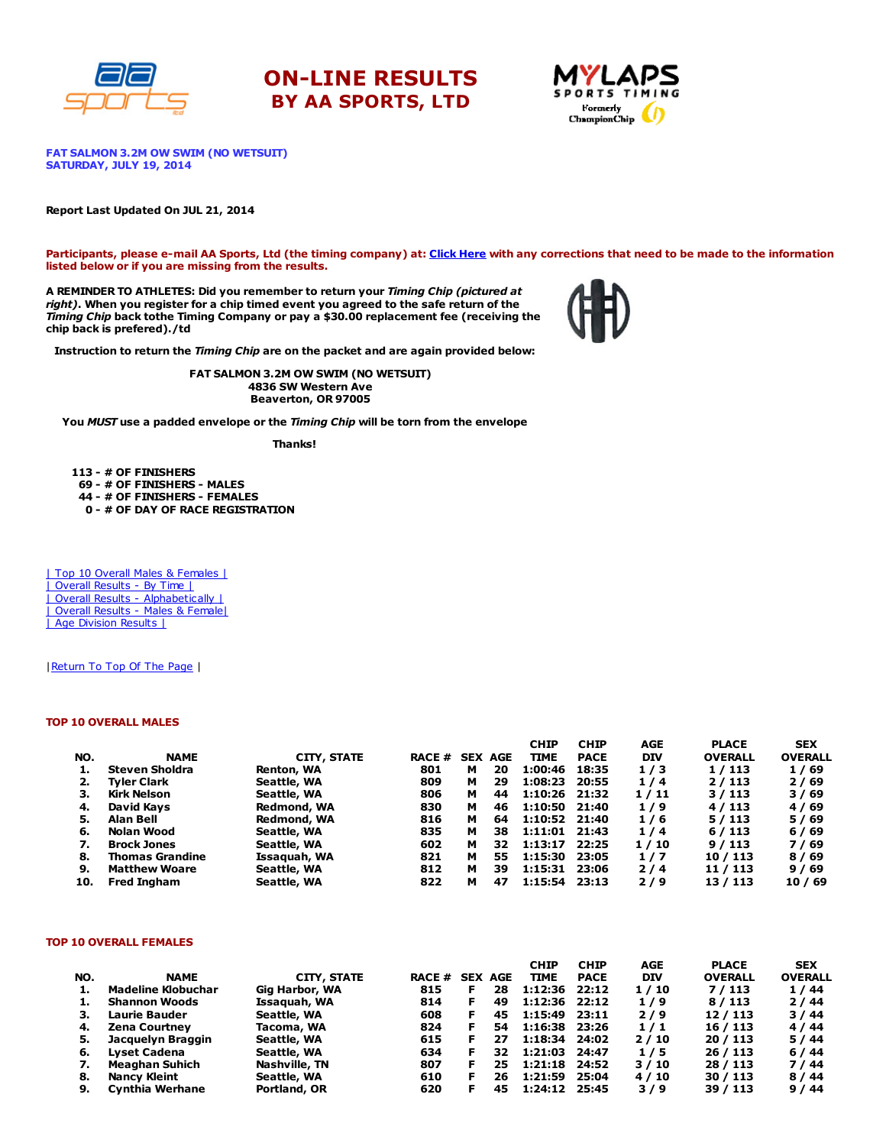





FAT SALMON 3.2M OW SWIM (NO WETSUIT) SATURDAY, JULY 19, 2014

### Report Last Updated On JUL 21, 2014

Participants, please e-mail AA Sports, Ltd (the timing company) at: Click [Here](http://www.racecenter.com/aa-sports-results-inquiry/) with any corrections that need to be made to the information listed below or if you are missing from the results.

A REMINDER TO ATHLETES: Did you remember to return your Timing Chip (pictured at right). When you register for a chip timed event you agreed to the safe return of the Timing Chip back tothe Timing Company or pay a \$30.00 replacement fee (receiving the chip back is prefered)./td



Instruction to return the Timing Chip are on the packet and are again provided below:

FAT SALMON 3.2M OW SWIM (NO WETSUIT) 4836 SW Western Ave Beaverton, OR 97005

You MUST use a padded envelope or the Timing Chip will be torn from the envelope

Thanks!

 - # OF FINISHERS - # OF FINISHERS - MALES - # OF FINISHERS - FEMALES - # OF DAY OF RACE REGISTRATION

| Top 10 Overall Males & Females | | Overall Results - By Time | | Overall Results - [Alphabetically](http://www.racecenter.com/results/2014/res_s3al14.htm) | | Overall Results - Males & [Female|](http://www.racecenter.com/results/2014/res_s3og14.htm) | Age [Division](http://www.racecenter.com/results/2014/res_s3ag14.htm) Results |

| Return To Top Of The Page |

### TOP 10 OVERALL MALES

|     |                        |                    |                |   |    | <b>CHIP</b>     | <b>CHIP</b> | AGE        | <b>PLACE</b>   | <b>SEX</b>     |
|-----|------------------------|--------------------|----------------|---|----|-----------------|-------------|------------|----------------|----------------|
| NO. | <b>NAME</b>            | <b>CITY, STATE</b> | RACE # SEX AGE |   |    | <b>TIME</b>     | <b>PACE</b> | <b>DIV</b> | <b>OVERALL</b> | <b>OVERALL</b> |
| ı.  | Steven Sholdra         | Renton, WA         | 801            | м | 20 | 1:00:46         | 18:35       | 1/3        | 1/113          | 1/69           |
| 2.  | <b>Tyler Clark</b>     | Seattle, WA        | 809            | м | 29 | 1:08:23         | 20:55       | 1/4        | 2/113          | 2/69           |
| з.  | Kirk Nelson            | Seattle, WA        | 806            | м | 44 | 1:10:26         | 21:32       | 1/11       | 3/113          | 3/69           |
| 4.  | David Kays             | Redmond, WA        | 830            | м | 46 | 1:10:50 21:40   |             | 1/9        | 4/113          | 4/69           |
| 5.  | Alan Bell              | Redmond, WA        | 816            | м | 64 | 1:10:52 21:40   |             | 1/6        | 5/113          | 5/69           |
| 6.  | Nolan Wood             | Seattle, WA        | 835            | м | 38 | $1:11:01$ 21:43 |             | 1/4        | 6/113          | 6/69           |
| 7.  | <b>Brock Jones</b>     | Seattle, WA        | 602            | м | 32 | 1:13:17         | 22:25       | 1/10       | 9/113          | 7/69           |
| 8.  | <b>Thomas Grandine</b> | Issaguah, WA       | 821            | м | 55 | 1:15:30         | 23:05       | 1/7        | 10/113         | 8/69           |
| 9.  | <b>Matthew Woare</b>   | Seattle, WA        | 812            | м | 39 | 1:15:31         | 23:06       | 2/4        | 11 / 113       | 9/69           |
| 10. | <b>Fred Ingham</b>     | Seattle, WA        | 822            | м | 47 | 1:15:54         | 23:13       | 2/9        | 13 / 113       | 10/69          |

### TOP 10 OVERALL FEMALES

|     |                       |                |                |    |     | <b>CHIP</b>     | <b>CHIP</b> | AGE        | <b>PLACE</b>   | <b>SEX</b>     |
|-----|-----------------------|----------------|----------------|----|-----|-----------------|-------------|------------|----------------|----------------|
| NO. | <b>NAME</b>           | CITY, STATE    | RACE # SEX AGE |    |     | <b>TIME</b>     | <b>PACE</b> | <b>DIV</b> | <b>OVERALL</b> | <b>OVERALL</b> |
| ı.  | Madeline Klobuchar    | Gig Harbor, WA | 815            | F  | 28  | 1:12:36         | 22:12       | 1/10       | 7/113          | 1/44           |
| ı.  | <b>Shannon Woods</b>  | Issaguah, WA   | 814            | F  | 49  | 1:12:36 22:12   |             | 1/9        | 8/113          | 2/44           |
| з.  | Laurie Bauder         | Seattle, WA    | 608            | F. | 45  | $1:15:49$ 23:11 |             | 2/9        | 12/113         | 3/44           |
| 4.  | <b>Zena Courtney</b>  | Tacoma, WA     | 824            |    | 54  | 1:16:38 23:26   |             | 1/1        | 16 / 113       | 4/44           |
| 5.  | Jacquelyn Braggin     | Seattle, WA    | 615            | F  | 27  | 1:18:34         | 24:02       | 2/10       | 20/113         | 5/44           |
| 6.  | Lyset Cadena          | Seattle, WA    | 634            | F  | 32  | 1:21:03         | 24:47       | 1/5        | 26/113         | 6/44           |
| 7.  | <b>Meaghan Suhich</b> | Nashville, TN  | 807            |    | 25. | 1:21:18         | 24:52       | 3/10       | 28 / 113       | 7/44           |
| 8.  | Nancy Kleint          | Seattle, WA    | 610            | F  | 26  | 1:21:59         | 25:04       | 4/10       | 30/113         | 8/44           |
| 9.  | Cynthia Werhane       | Portland, OR   | 620            |    | 45  | 1:24:12         | 25:45       | 3/9        | 39 / 113       | 9/44           |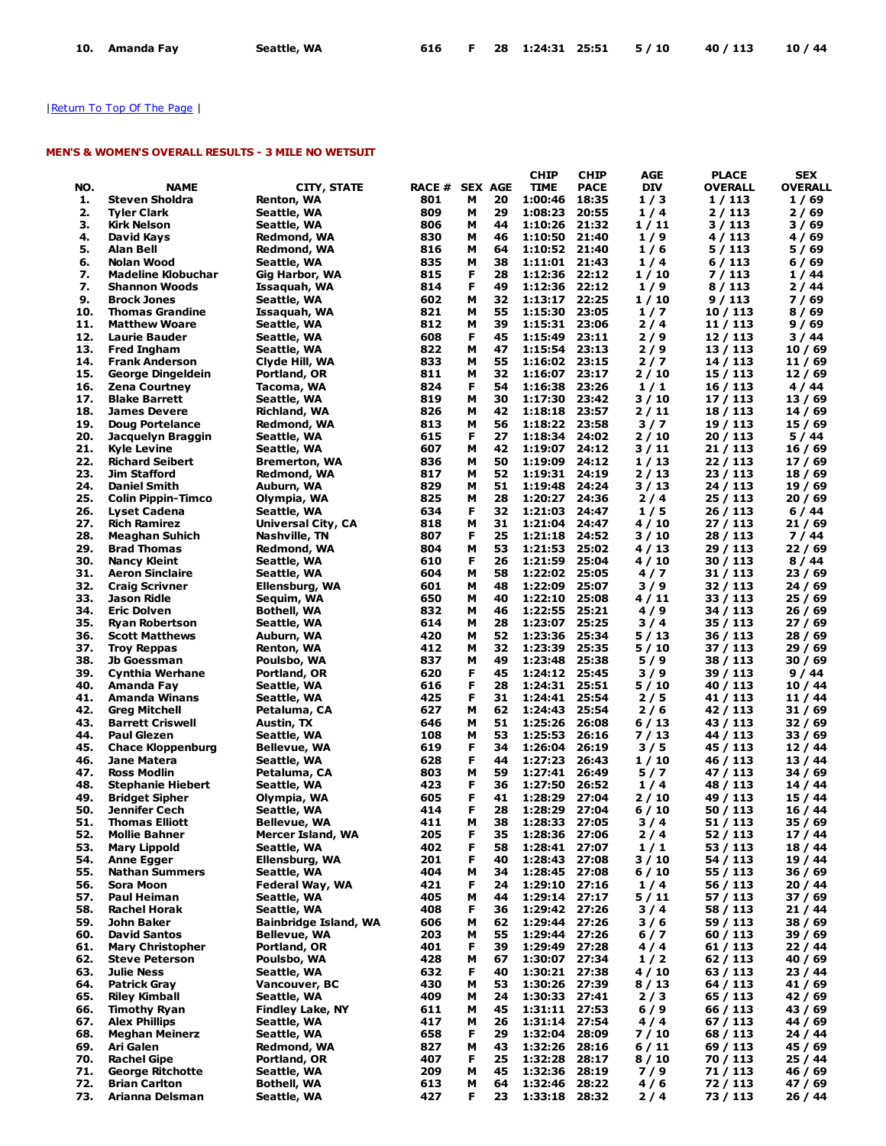# | Return To Top Of The Page |

# MEN'S & WOMEN'S OVERALL RESULTS - 3 MILE NO WETSUIT

|     |                           |                              |       |    |                | <b>CHIP</b>      | <b>CHIP</b> | AGE        | <b>PLACE</b>   | <b>SEX</b>     |
|-----|---------------------------|------------------------------|-------|----|----------------|------------------|-------------|------------|----------------|----------------|
| NO. | <b>NAME</b>               | <b>CITY, STATE</b>           | RACE# |    | <b>SEX AGE</b> | <b>TIME</b>      | <b>PACE</b> | <b>DIV</b> | <b>OVERALL</b> | <b>OVERALL</b> |
| 1.  | Steven Sholdra            | Renton, WA                   | 801   | м  | 20             | 1:00:46          | 18:35       | 1/3        | 1 / 113        | 1/69           |
| 2.  | <b>Tyler Clark</b>        | Seattle, WA                  | 809   | м  | 29             | 1:08:23          | 20:55       | 1/4        | 2/113          | 2/69           |
| 3.  | Kirk Nelson               | Seattle, WA                  | 806   | м  | 44             | 1:10:26          | 21:32       | 1 / 11     | 3 / 113        | 3 / 69         |
| 4.  | David Kays                | Redmond, WA                  | 830   | м  | 46             | 1:10:50          | 21:40       | 1/9        | 4/113          | 4/69           |
| 5.  | Alan Bell                 | Redmond, WA                  | 816   | М  | 64             | 1:10:52 21:40    |             | 1/6        | 5 / 113        | 5 / 69         |
| 6.  | Nolan Wood                | Seattle, WA                  | 835   | м  | 38             | 1:11:01 21:43    |             | 1/4        | 6 / 113        | 6/69           |
| 7.  | <b>Madeline Klobuchar</b> | Gig Harbor, WA               | 815   | F  | 28             | 1:12:36 22:12    |             | 1 / 10     | 7/113          | 1/44           |
| 7.  | <b>Shannon Woods</b>      | Issaquah, WA                 | 814   | F  | 49             | 1:12:36 22:12    |             | 1/9        | 8/113          | 2/44           |
| 9.  | <b>Brock Jones</b>        | Seattle, WA                  | 602   | м  | 32             | 1:13:17          | 22:25       | 1/10       | 9 / 113        | 7 / 69         |
| 10. | <b>Thomas Grandine</b>    | Issaquah, WA                 | 821   | м  | 55             | 1:15:30 23:05    |             | 1/7        | 10 / 113       | 8/69           |
| 11. | <b>Matthew Woare</b>      | Seattle, WA                  | 812   | М  | 39             | 1:15:31 23:06    |             | 2/4        | 11 / 113       | 9/69           |
| 12. | Laurie Bauder             | Seattle, WA                  | 608   | F  | 45             | 1:15:49          | 23:11       | 2/9        | 12 / 113       | 3 / 44         |
| 13. | <b>Fred Ingham</b>        | Seattle, WA                  | 822   | м  | 47             | 1:15:54 23:13    |             | 2/9        | 13 / 113       | 10/69          |
| 14. | <b>Frank Anderson</b>     | Clyde Hill, WA               | 833   | М  | 55             | 1:16:02 23:15    |             | 2/7        | 14 / 113       | 11 / 69        |
| 15. | George Dingeldein         | Portland, OR                 | 811   | M  | 32             | 1:16:07 23:17    |             | 2/10       | 15 / 113       | 12 / 69        |
| 16. | <b>Zena Courtney</b>      | Tacoma, WA                   | 824   | F  | 54             | 1:16:38          | 23:26       | 1/1        | 16 / 113       | 4 / 44         |
| 17. | <b>Blake Barrett</b>      | Seattle, WA                  | 819   | м  | 30             | 1:17:30          | 23:42       | 3 / 10     | 17 / 113       | 13 / 69        |
| 18. | <b>James Devere</b>       | Richland, WA                 | 826   | м  | 42             | 1:18:18          | 23:57       | 2/11       | 18 / 113       | 14 / 69        |
| 19. | <b>Doug Portelance</b>    | Redmond, WA                  | 813   | м  | 56             | 1:18:22 23:58    |             | 3/7        | 19 / 113       | 15/69          |
| 20. | Jacquelyn Braggin         | Seattle, WA                  | 615   | F  | 27             | 1:18:34          | 24:02       | 2 / 10     | 20 / 113       | 5 / 44         |
| 21. | <b>Kyle Levine</b>        | Seattle, WA                  | 607   | м  | 42             | 1:19:07 24:12    |             | 3/11       | 21 / 113       | 16 / 69        |
| 22. | <b>Richard Seibert</b>    | <b>Bremerton, WA</b>         | 836   | м  | 50             | 1:19:09          | 24:12       | 1/13       | 22 / 113       | 17 / 69        |
| 23. | Jim Stafford              | Redmond, WA                  | 817   | м  | 52             | 1:19:31          | 24:19       | 2 / 13     | 23 / 113       | 18 / 69        |
| 24. | <b>Daniel Smith</b>       |                              | 829   | м  | 51             | 1:19:48          | 24:24       | 3/13       | 24 / 113       | 19 / 69        |
| 25. |                           | Auburn, WA<br>Olympia, WA    | 825   | м  | 28             | 1:20:27          | 24:36       | 2/4        |                |                |
| 26. | <b>Colin Pippin-Timco</b> |                              |       | F  | 32             |                  |             |            | 25 / 113       | 20/69          |
|     | Lyset Cadena              | Seattle, WA                  | 634   |    |                | 1:21:03          | 24:47       | 1/5        | 26 / 113       | 6/44           |
| 27. | <b>Rich Ramirez</b>       | <b>Universal City, CA</b>    | 818   | м  | 31             | 1:21:04          | 24:47       | 4 / 10     | 27 / 113       | 21/69          |
| 28. | <b>Meaghan Suhich</b>     | Nashville, TN                | 807   | F  | 25             | 1:21:18          | 24:52       | 3 / 10     | 28 / 113       | 7 / 44         |
| 29. | <b>Brad Thomas</b>        | Redmond, WA                  | 804   | м  | 53             | 1:21:53          | 25:02       | 4 / 13     | 29 / 113       | 22 / 69        |
| 30. | <b>Nancy Kleint</b>       | Seattle, WA                  | 610   | F  | 26             | 1:21:59          | 25:04       | 4 / 10     | 30 / 113       | 8 / 44         |
| 31. | <b>Aeron Sinclaire</b>    | Seattle, WA                  | 604   | м  | 58             | 1:22:02          | 25:05       | 4/7        | 31 / 113       | 23 / 69        |
| 32. | <b>Craig Scrivner</b>     | Ellensburg, WA               | 601   | м  | 48             | 1:22:09          | 25:07       | 3/9        | 32 / 113       | 24 / 69        |
| 33. | Jason Ridle               | Sequim, WA                   | 650   | м  | 40             | 1:22:10          | 25:08       | 4/11       | 33 / 113       | 25 / 69        |
| 34. | <b>Eric Dolven</b>        | Bothell, WA                  | 832   | м  | 46             | 1:22:55          | 25:21       | 4/9        | 34 / 113       | 26/69          |
| 35. | <b>Ryan Robertson</b>     | Seattle, WA                  | 614   | м  | 28             | 1:23:07 25:25    |             | 3/4        | 35 / 113       | 27 / 69        |
| 36. | <b>Scott Matthews</b>     | Auburn, WA                   | 420   | м  | 52             | 1:23:36          | 25:34       | 5 / 13     | 36 / 113       | 28 / 69        |
| 37. | <b>Troy Reppas</b>        | Renton, WA                   | 412   | М  | 32             | 1:23:39          | 25:35       | 5 / 10     | 37 / 113       | 29 / 69        |
| 38. | Jb Goessman               | Poulsbo, WA                  | 837   | M  | 49             | 1:23:48          | 25:38       | 5/9        | 38 / 113       | 30 / 69        |
| 39. | Cynthia Werhane           | Portland, OR                 | 620   | F  | 45             | 1:24:12          | 25:45       | 3/9        | 39 / 113       | 9/44           |
| 40. | Amanda Fay                | Seattle, WA                  | 616   | F  | 28             | 1:24:31          | 25:51       | 5 / 10     | 40 / 113       | 10 / 44        |
| 41. | <b>Amanda Winans</b>      | Seattle, WA                  | 425   | F  | 31             | 1:24:41          | 25:54       | 2/5        | 41 / 113       | 11 / 44        |
| 42. | <b>Greg Mitchell</b>      | Petaluma, CA                 | 627   | м  | 62             | 1:24:43          | 25:54       | 2/6        | 42 / 113       | 31 / 69        |
| 43. | <b>Barrett Criswell</b>   | Austin, TX                   | 646   | м  | 51             | 1:25:26          | 26:08       | 6/13       | 43 / 113       | 32 / 69        |
| 44. | <b>Paul Glezen</b>        | Seattle, WA                  | 108   | М  | 53             | 1:25:53          | 26:16       | 7 / 13     | 44 / 113       | 33 / 69        |
| 45. | <b>Chace Kloppenburg</b>  | Bellevue, WA                 | 619   | F  | 34             | 1:26:04          | 26:19       | 3/5        | 45 / 113       | 12 / 44        |
| 46. | Jane Matera               | Seattle, WA                  | 628   | F  | 44             | 1:27:23          | 26:43       | 1/10       | 46 / 113       | 13 / 44        |
| 47. | <b>Ross Modlin</b>        | Petaluma, CA                 | 803   | М  | 59             | 1:27:41          | 26:49       | 5 / 7      | 47 / 113       | 34 / 69        |
| 48. | <b>Stephanie Hiebert</b>  | Seattle, WA                  | 423   | F  | 36             | 1:27:50          | 26:52       | 1/4        | 48 / 113       | 14 / 44        |
| 49. | <b>Bridget Sipher</b>     | Olympia, WA                  | 605   | F  | 41             | 1:28:29          | 27:04       | 2 / 10     | 49 / 113       | 15 / 44        |
| 50. | <b>Jennifer Cech</b>      | Seattle, WA                  | 414   | F  | 28             | 1:28:29          | 27:04       | 6 / 10     | 50 / 113       | 16 / 44        |
| 51. | <b>Thomas Elliott</b>     | Bellevue, WA                 | 411   | M  | 38             | 1:28:33          | 27:05       | 3 / 4      | 51 / 113       | 35 / 69        |
| 52. | <b>Mollie Bahner</b>      | <b>Mercer Island, WA</b>     | 205   | F  | 35             | 1:28:36 27:06    |             | $2/4$      | 52 / 113       | 17 / 44        |
| 53. | Mary Lippold              | Seattle, WA                  | 402   | F  | 58             | 1:28:41 27:07    |             | 1/1        | 53 / 113       | 18 / 44        |
| 54. | <b>Anne Egger</b>         | Ellensburg, WA               | 201   | F  | 40             | 1:28:43          | 27:08       | 3 / 10     | 54 / 113       | 19/44          |
| 55. | <b>Nathan Summers</b>     | Seattle, WA                  | 404   | М  | 34             | 1:28:45 27:08    |             | 6/10       | 55 / 113       | 36 / 69        |
| 56. | Sora Moon                 | Federal Way, WA              | 421   | F  | 24             | 1:29:10 27:16    |             | 1/4        | 56 / 113       | 20 / 44        |
| 57. | Paul Heiman               | Seattle, WA                  | 405   | М  | 44             | 1:29:14 27:17    |             | 5 / 11     | 57 / 113       | 37 / 69        |
| 58. | <b>Rachel Horak</b>       | Seattle, WA                  | 408   | F  | 36             | 1:29:42 27:26    |             | 3/4        | 58 / 113       | 21 / 44        |
| 59. | John Baker                | <b>Bainbridge Island, WA</b> | 606   | М  | 62             | 1:29:44 27:26    |             | 3/6        | 59 / 113       | 38 / 69        |
| 60. | <b>David Santos</b>       | <b>Bellevue, WA</b>          | 203   | м  | 55             | 1:29:44 27:26    |             | 6 / 7      | 60 / 113       | 39 / 69        |
| 61. | <b>Mary Christopher</b>   | Portland, OR                 | 401   | F  | 39             | 1:29:49          | 27:28       | 4/4        | 61 / 113       | 22/44          |
| 62. | <b>Steve Peterson</b>     | Poulsbo, WA                  | 428   | М  | 67             | 1:30:07 27:34    |             | 1/2        | 62 / 113       | 40 / 69        |
| 63. | <b>Julie Ness</b>         | Seattle, WA                  | 632   | F  | 40             | 1:30:21 27:38    |             | 4 / 10     | 63 / 113       | 23 / 44        |
| 64. | Patrick Gray              | Vancouver, BC                | 430   | М  | 53             | 1:30:26 27:39    |             | 8/13       | 64 / 113       | 41 / 69        |
| 65. | <b>Riley Kimball</b>      | Seattle, WA                  | 409   | М  | 24             | 1:30:33 27:41    |             | 2/3        | 65 / 113       | 42 / 69        |
| 66. | <b>Timothy Ryan</b>       |                              | 611   | М  | 45             | 1:31:11 27:53    |             | $6/9$      | 66 / 113       |                |
|     |                           | <b>Findley Lake, NY</b>      |       |    |                | 1:31:14 27:54    |             |            |                | 43 / 69        |
| 67. | <b>Alex Phillips</b>      | Seattle, WA                  | 417   | м  | 26             |                  |             | 4/4        | 67 / 113       | 44 / 69        |
| 68. | <b>Meghan Meinerz</b>     | Seattle, WA                  | 658   | F  | 29             | 1:32:04 28:09    |             | 7 / 10     | 68 / 113       | 24 / 44        |
| 69. | Ari Galen                 | Redmond, WA                  | 827   | м  | 43             | 1:32:26          | 28:16       | 6/11       | 69 / 113       | 45 / 69        |
| 70. | <b>Rachel Gipe</b>        | Portland, OR                 | 407   | F  | 25             | 1:32:28          | 28:17       | 8/10       | 70 / 113       | 25 / 44        |
| 71. | <b>George Ritchotte</b>   | Seattle, WA                  | 209   | М  | 45             | 1:32:36          | 28:19       | 7/9        | 71 / 113       | 46 / 69        |
| 72. | <b>Brian Carlton</b>      | <b>Bothell, WA</b>           | 613   | М  | 64             | 1:32:46 28:22    |             | 4/6        | 72 / 113       | 47 / 69        |
| 73. | Arianna Delsman           | Seattle, WA                  | 427   | F. |                | 23 1:33:18 28:32 |             | $2/4$      | 73 / 113       | 26 / 44        |